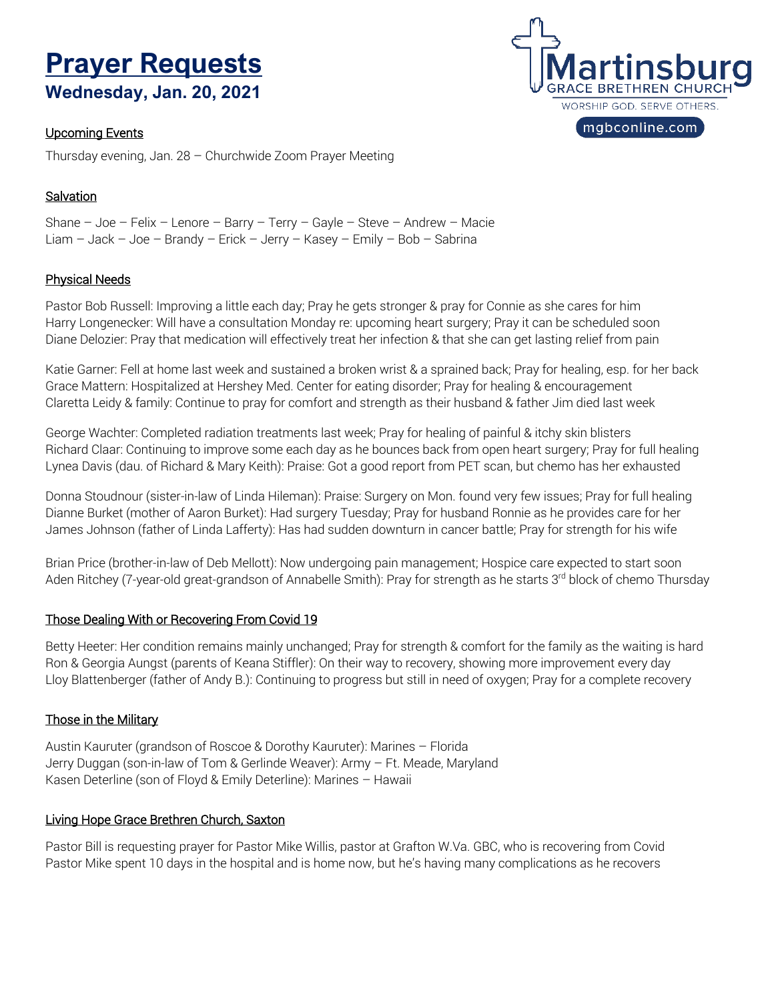# **Prayer RequestsWednesday, Jan. 20, 2021**

#### Upcoming Events

Thursday evening, Jan. 28 – Churchwide Zoom Prayer Meeting

## **Salvation**

Shane – Joe – Felix – Lenore – Barry – Terry – Gayle – Steve – Andrew – Macie Liam – Jack – Joe – Brandy – Erick – Jerry – Kasey – Emily – Bob – Sabrina

### Physical Needs

Pastor Bob Russell: Improving a little each day; Pray he gets stronger & pray for Connie as she cares for him Harry Longenecker: Will have a consultation Monday re: upcoming heart surgery; Pray it can be scheduled soon Diane Delozier: Pray that medication will effectively treat her infection & that she can get lasting relief from pain

Katie Garner: Fell at home last week and sustained a broken wrist & a sprained back; Pray for healing, esp. for her back Grace Mattern: Hospitalized at Hershey Med. Center for eating disorder; Pray for healing & encouragement Claretta Leidy & family: Continue to pray for comfort and strength as their husband & father Jim died last week

George Wachter: Completed radiation treatments last week; Pray for healing of painful & itchy skin blisters Richard Claar: Continuing to improve some each day as he bounces back from open heart surgery; Pray for full healing Lynea Davis (dau. of Richard & Mary Keith): Praise: Got a good report from PET scan, but chemo has her exhausted

Donna Stoudnour (sister-in-law of Linda Hileman): Praise: Surgery on Mon. found very few issues; Pray for full healing Dianne Burket (mother of Aaron Burket): Had surgery Tuesday; Pray for husband Ronnie as he provides care for her James Johnson (father of Linda Lafferty): Has had sudden downturn in cancer battle; Pray for strength for his wife

Brian Price (brother-in-law of Deb Mellott): Now undergoing pain management; Hospice care expected to start soon Aden Ritchey (7-year-old great-grandson of Annabelle Smith): Pray for strength as he starts 3<sup>rd</sup> block of chemo Thursday

### Those Dealing With or Recovering From Covid 19

Betty Heeter: Her condition remains mainly unchanged; Pray for strength & comfort for the family as the waiting is hard Ron & Georgia Aungst (parents of Keana Stiffler): On their way to recovery, showing more improvement every day Lloy Blattenberger (father of Andy B.): Continuing to progress but still in need of oxygen; Pray for a complete recovery

### Those in the Military

Austin Kauruter (grandson of Roscoe & Dorothy Kauruter): Marines – Florida Jerry Duggan (son-in-law of Tom & Gerlinde Weaver): Army – Ft. Meade, Maryland Kasen Deterline (son of Floyd & Emily Deterline): Marines – Hawaii

### Living Hope Grace Brethren Church, Saxton

Pastor Bill is requesting prayer for Pastor Mike Willis, pastor at Grafton W.Va. GBC, who is recovering from Covid Pastor Mike spent 10 days in the hospital and is home now, but he's having many complications as he recovers